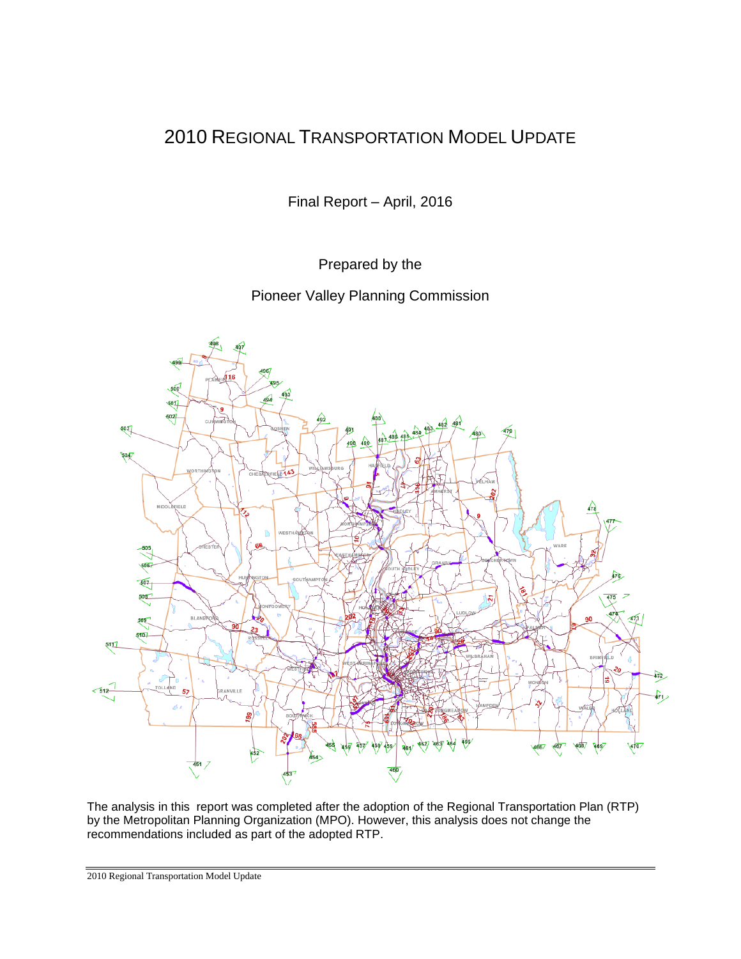# 2010 REGIONAL TRANSPORTATION MODEL UPDATE

Final Report – April, 2016

Prepared by the

Pioneer Valley Planning Commission



The analysis in this report was completed after the adoption of the Regional Transportation Plan (RTP) by the Metropolitan Planning Organization (MPO). However, this analysis does not change the recommendations included as part of the adopted RTP.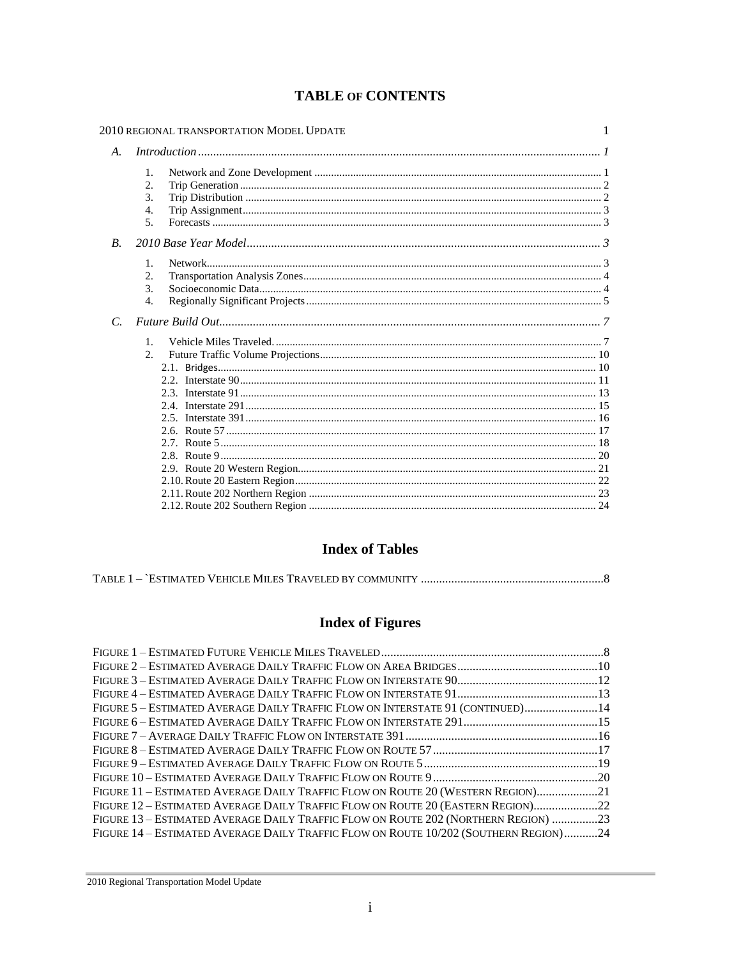|                    | 2010 REGIONAL TRANSPORTATION MODEL UPDATE                       | 1 |  |  |  |
|--------------------|-----------------------------------------------------------------|---|--|--|--|
| $A_{\cdot}$        | Introduction 11                                                 |   |  |  |  |
|                    | 1.<br>2.<br>$\mathcal{F}_{\mathcal{L}}$<br>4.<br>5 <sub>1</sub> |   |  |  |  |
| $\boldsymbol{B}$ . |                                                                 |   |  |  |  |
|                    | $\mathbf{1}$ .<br>2.<br>3.<br>$\overline{4}$ .                  |   |  |  |  |
| $\mathcal{C}$      |                                                                 |   |  |  |  |
|                    | $\mathbf{1}$ .<br>2.                                            |   |  |  |  |

### **TABLE OF CONTENTS**

### **Index of Tables**

|--|--|--|--|

# **Index of Figures**

| FIGURE 5 - ESTIMATED AVERAGE DAILY TRAFFIC FLOW ON INTERSTATE 91 (CONTINUED)14       |  |
|--------------------------------------------------------------------------------------|--|
|                                                                                      |  |
|                                                                                      |  |
|                                                                                      |  |
|                                                                                      |  |
|                                                                                      |  |
| FIGURE 11 - ESTIMATED AVERAGE DAILY TRAFFIC FLOW ON ROUTE 20 (WESTERN REGION)21      |  |
| FIGURE 12 - ESTIMATED AVERAGE DAILY TRAFFIC FLOW ON ROUTE 20 (EASTERN REGION)22      |  |
| FIGURE 13 – ESTIMATED AVERAGE DAILY TRAFFIC FLOW ON ROUTE 202 (NORTHERN REGION) 23   |  |
| FIGURE 14 – ESTIMATED AVERAGE DAILY TRAFFIC FLOW ON ROUTE 10/202 (SOUTHERN REGION)24 |  |
|                                                                                      |  |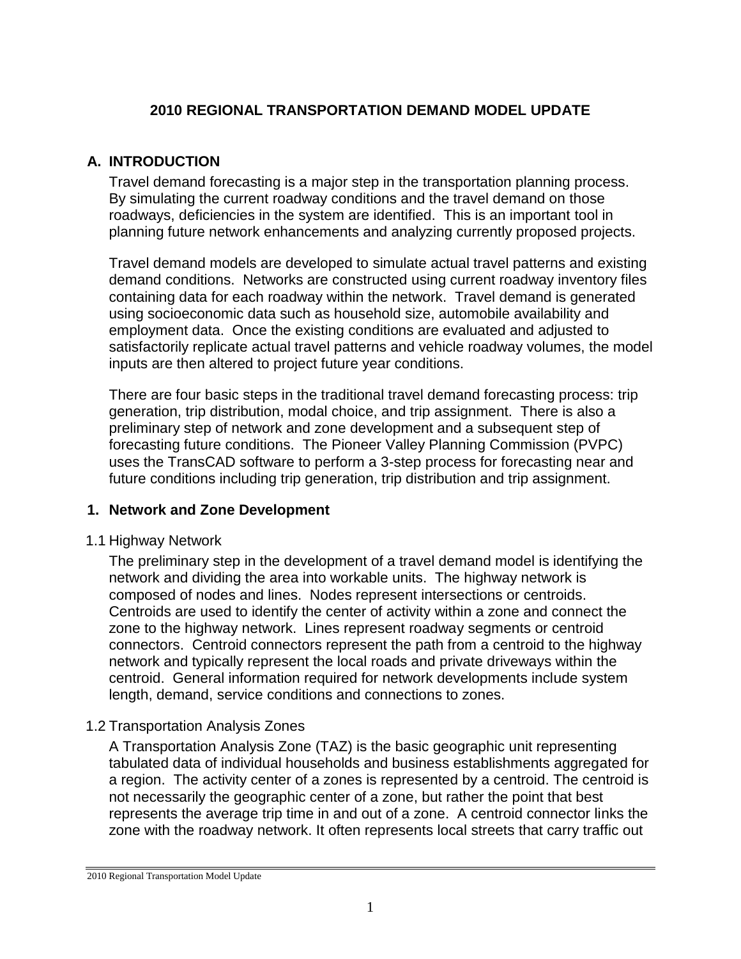### **2010 REGIONAL TRANSPORTATION DEMAND MODEL UPDATE**

### **A. INTRODUCTION**

Travel demand forecasting is a major step in the transportation planning process. By simulating the current roadway conditions and the travel demand on those roadways, deficiencies in the system are identified. This is an important tool in planning future network enhancements and analyzing currently proposed projects.

Travel demand models are developed to simulate actual travel patterns and existing demand conditions. Networks are constructed using current roadway inventory files containing data for each roadway within the network. Travel demand is generated using socioeconomic data such as household size, automobile availability and employment data. Once the existing conditions are evaluated and adjusted to satisfactorily replicate actual travel patterns and vehicle roadway volumes, the model inputs are then altered to project future year conditions.

There are four basic steps in the traditional travel demand forecasting process: trip generation, trip distribution, modal choice, and trip assignment. There is also a preliminary step of network and zone development and a subsequent step of forecasting future conditions. The Pioneer Valley Planning Commission (PVPC) uses the TransCAD software to perform a 3-step process for forecasting near and future conditions including trip generation, trip distribution and trip assignment.

### **1. Network and Zone Development**

#### 1.1 Highway Network

The preliminary step in the development of a travel demand model is identifying the network and dividing the area into workable units. The highway network is composed of nodes and lines. Nodes represent intersections or centroids. Centroids are used to identify the center of activity within a zone and connect the zone to the highway network. Lines represent roadway segments or centroid connectors. Centroid connectors represent the path from a centroid to the highway network and typically represent the local roads and private driveways within the centroid. General information required for network developments include system length, demand, service conditions and connections to zones.

#### 1.2 Transportation Analysis Zones

A Transportation Analysis Zone (TAZ) is the basic geographic unit representing tabulated data of individual households and business establishments aggregated for a region. The activity center of a zones is represented by a centroid. The centroid is not necessarily the geographic center of a zone, but rather the point that best represents the average trip time in and out of a zone. A centroid connector links the zone with the roadway network. It often represents local streets that carry traffic out

<sup>2010</sup> Regional Transportation Model Update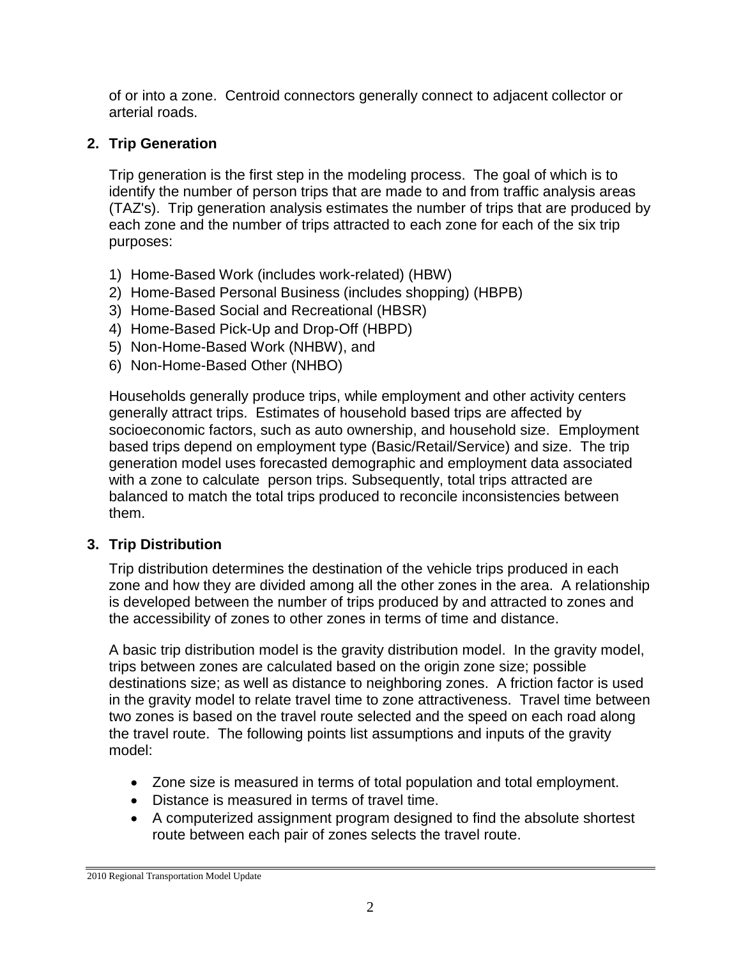of or into a zone. Centroid connectors generally connect to adjacent collector or arterial roads.

## **2. Trip Generation**

Trip generation is the first step in the modeling process. The goal of which is to identify the number of person trips that are made to and from traffic analysis areas (TAZ's). Trip generation analysis estimates the number of trips that are produced by each zone and the number of trips attracted to each zone for each of the six trip purposes:

- 1) Home-Based Work (includes work-related) (HBW)
- 2) Home-Based Personal Business (includes shopping) (HBPB)
- 3) Home-Based Social and Recreational (HBSR)
- 4) Home-Based Pick-Up and Drop-Off (HBPD)
- 5) Non-Home-Based Work (NHBW), and
- 6) Non-Home-Based Other (NHBO)

Households generally produce trips, while employment and other activity centers generally attract trips. Estimates of household based trips are affected by socioeconomic factors, such as auto ownership, and household size. Employment based trips depend on employment type (Basic/Retail/Service) and size. The trip generation model uses forecasted demographic and employment data associated with a zone to calculate person trips. Subsequently, total trips attracted are balanced to match the total trips produced to reconcile inconsistencies between them.

### **3. Trip Distribution**

Trip distribution determines the destination of the vehicle trips produced in each zone and how they are divided among all the other zones in the area. A relationship is developed between the number of trips produced by and attracted to zones and the accessibility of zones to other zones in terms of time and distance.

A basic trip distribution model is the gravity distribution model. In the gravity model, trips between zones are calculated based on the origin zone size; possible destinations size; as well as distance to neighboring zones. A friction factor is used in the gravity model to relate travel time to zone attractiveness. Travel time between two zones is based on the travel route selected and the speed on each road along the travel route. The following points list assumptions and inputs of the gravity model:

- Zone size is measured in terms of total population and total employment.
- Distance is measured in terms of travel time.
- A computerized assignment program designed to find the absolute shortest route between each pair of zones selects the travel route.

<sup>2010</sup> Regional Transportation Model Update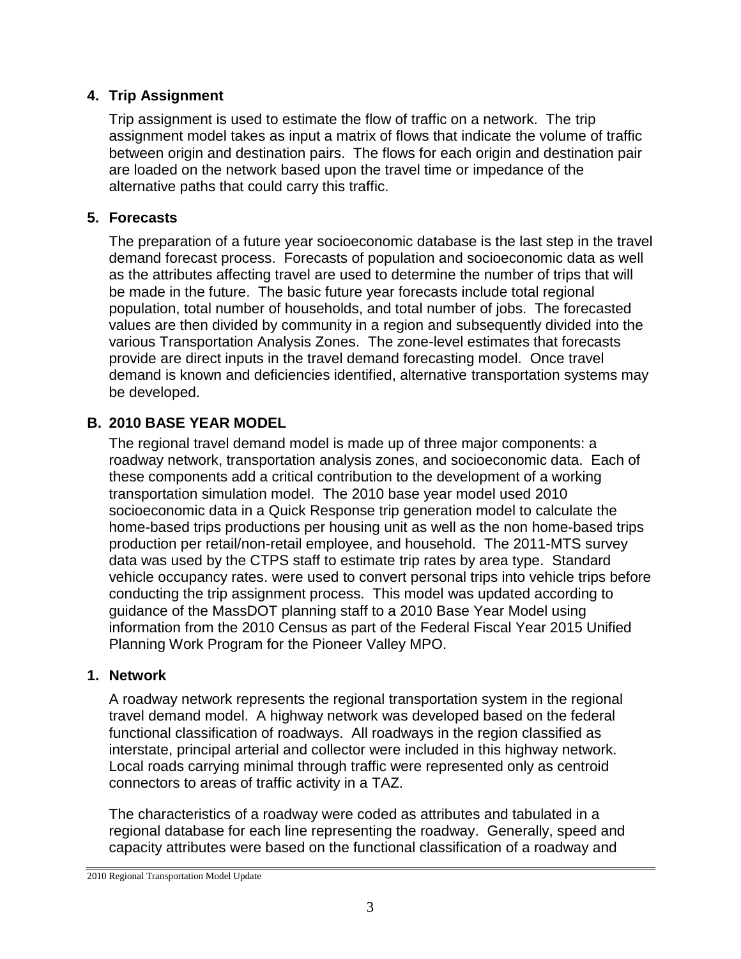### **4. Trip Assignment**

Trip assignment is used to estimate the flow of traffic on a network. The trip assignment model takes as input a matrix of flows that indicate the volume of traffic between origin and destination pairs. The flows for each origin and destination pair are loaded on the network based upon the travel time or impedance of the alternative paths that could carry this traffic.

### **5. Forecasts**

The preparation of a future year socioeconomic database is the last step in the travel demand forecast process. Forecasts of population and socioeconomic data as well as the attributes affecting travel are used to determine the number of trips that will be made in the future. The basic future year forecasts include total regional population, total number of households, and total number of jobs. The forecasted values are then divided by community in a region and subsequently divided into the various Transportation Analysis Zones. The zone-level estimates that forecasts provide are direct inputs in the travel demand forecasting model. Once travel demand is known and deficiencies identified, alternative transportation systems may be developed.

### **B. 2010 BASE YEAR MODEL**

The regional travel demand model is made up of three major components: a roadway network, transportation analysis zones, and socioeconomic data. Each of these components add a critical contribution to the development of a working transportation simulation model. The 2010 base year model used 2010 socioeconomic data in a Quick Response trip generation model to calculate the home-based trips productions per housing unit as well as the non home-based trips production per retail/non-retail employee, and household. The 2011-MTS survey data was used by the CTPS staff to estimate trip rates by area type. Standard vehicle occupancy rates. were used to convert personal trips into vehicle trips before conducting the trip assignment process. This model was updated according to guidance of the MassDOT planning staff to a 2010 Base Year Model using information from the 2010 Census as part of the Federal Fiscal Year 2015 Unified Planning Work Program for the Pioneer Valley MPO.

### **1. Network**

A roadway network represents the regional transportation system in the regional travel demand model. A highway network was developed based on the federal functional classification of roadways. All roadways in the region classified as interstate, principal arterial and collector were included in this highway network. Local roads carrying minimal through traffic were represented only as centroid connectors to areas of traffic activity in a TAZ.

The characteristics of a roadway were coded as attributes and tabulated in a regional database for each line representing the roadway. Generally, speed and capacity attributes were based on the functional classification of a roadway and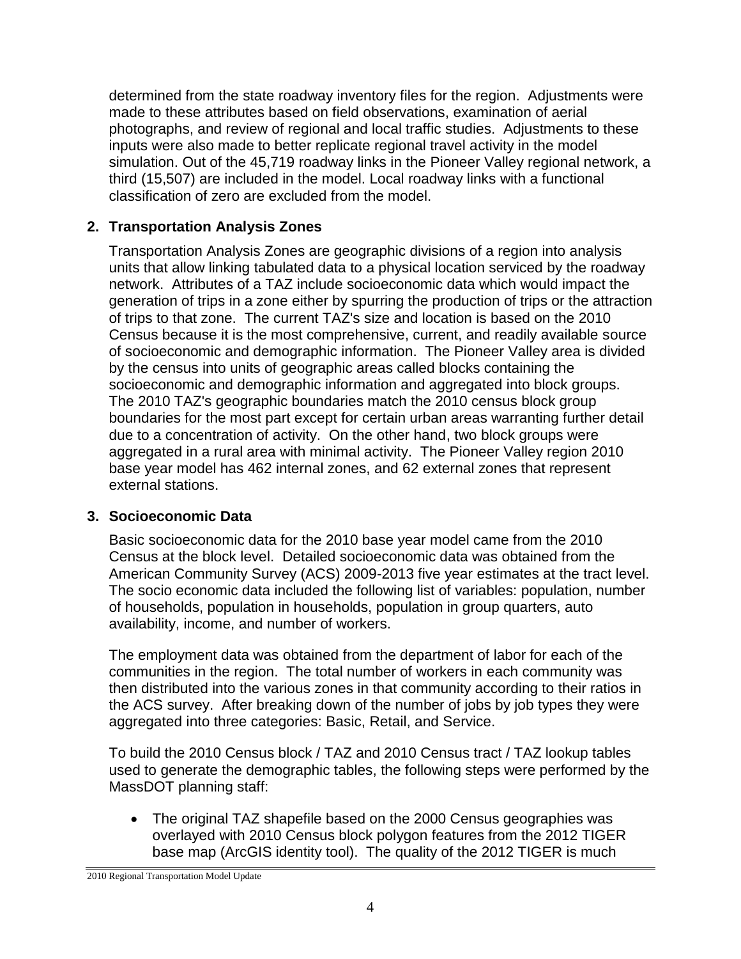determined from the state roadway inventory files for the region. Adjustments were made to these attributes based on field observations, examination of aerial photographs, and review of regional and local traffic studies. Adjustments to these inputs were also made to better replicate regional travel activity in the model simulation. Out of the 45,719 roadway links in the Pioneer Valley regional network, a third (15,507) are included in the model. Local roadway links with a functional classification of zero are excluded from the model.

### **2. Transportation Analysis Zones**

Transportation Analysis Zones are geographic divisions of a region into analysis units that allow linking tabulated data to a physical location serviced by the roadway network. Attributes of a TAZ include socioeconomic data which would impact the generation of trips in a zone either by spurring the production of trips or the attraction of trips to that zone. The current TAZ's size and location is based on the 2010 Census because it is the most comprehensive, current, and readily available source of socioeconomic and demographic information. The Pioneer Valley area is divided by the census into units of geographic areas called blocks containing the socioeconomic and demographic information and aggregated into block groups. The 2010 TAZ's geographic boundaries match the 2010 census block group boundaries for the most part except for certain urban areas warranting further detail due to a concentration of activity. On the other hand, two block groups were aggregated in a rural area with minimal activity. The Pioneer Valley region 2010 base year model has 462 internal zones, and 62 external zones that represent external stations.

### **3. Socioeconomic Data**

Basic socioeconomic data for the 2010 base year model came from the 2010 Census at the block level. Detailed socioeconomic data was obtained from the American Community Survey (ACS) 2009-2013 five year estimates at the tract level. The socio economic data included the following list of variables: population, number of households, population in households, population in group quarters, auto availability, income, and number of workers.

The employment data was obtained from the department of labor for each of the communities in the region. The total number of workers in each community was then distributed into the various zones in that community according to their ratios in the ACS survey. After breaking down of the number of jobs by job types they were aggregated into three categories: Basic, Retail, and Service.

To build the 2010 Census block / TAZ and 2010 Census tract / TAZ lookup tables used to generate the demographic tables, the following steps were performed by the MassDOT planning staff:

 The original TAZ shapefile based on the 2000 Census geographies was overlayed with 2010 Census block polygon features from the 2012 TIGER base map (ArcGIS identity tool). The quality of the 2012 TIGER is much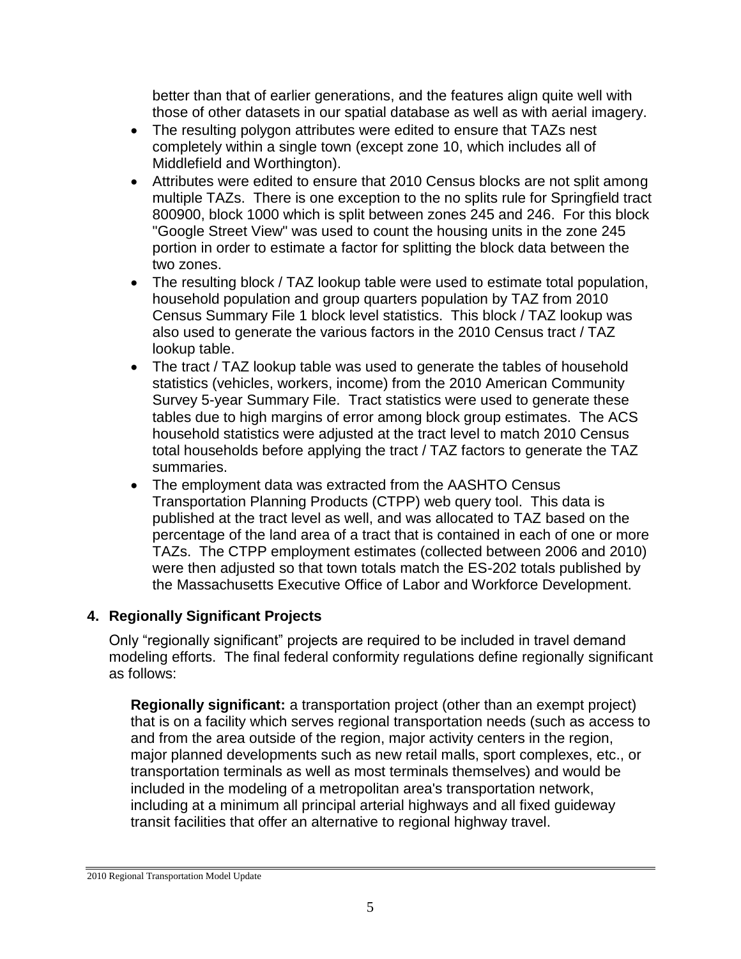better than that of earlier generations, and the features align quite well with those of other datasets in our spatial database as well as with aerial imagery.

- The resulting polygon attributes were edited to ensure that TAZs nest completely within a single town (except zone 10, which includes all of Middlefield and Worthington).
- Attributes were edited to ensure that 2010 Census blocks are not split among multiple TAZs. There is one exception to the no splits rule for Springfield tract 800900, block 1000 which is split between zones 245 and 246. For this block "Google Street View" was used to count the housing units in the zone 245 portion in order to estimate a factor for splitting the block data between the two zones.
- The resulting block / TAZ lookup table were used to estimate total population, household population and group quarters population by TAZ from 2010 Census Summary File 1 block level statistics. This block / TAZ lookup was also used to generate the various factors in the 2010 Census tract / TAZ lookup table.
- The tract / TAZ lookup table was used to generate the tables of household statistics (vehicles, workers, income) from the 2010 American Community Survey 5-year Summary File. Tract statistics were used to generate these tables due to high margins of error among block group estimates. The ACS household statistics were adjusted at the tract level to match 2010 Census total households before applying the tract / TAZ factors to generate the TAZ summaries.
- The employment data was extracted from the AASHTO Census Transportation Planning Products (CTPP) web query tool. This data is published at the tract level as well, and was allocated to TAZ based on the percentage of the land area of a tract that is contained in each of one or more TAZs. The CTPP employment estimates (collected between 2006 and 2010) were then adjusted so that town totals match the ES-202 totals published by the Massachusetts Executive Office of Labor and Workforce Development.

### **4. Regionally Significant Projects**

Only "regionally significant" projects are required to be included in travel demand modeling efforts. The final federal conformity regulations define regionally significant as follows:

**Regionally significant:** a transportation project (other than an exempt project) that is on a facility which serves regional transportation needs (such as access to and from the area outside of the region, major activity centers in the region, major planned developments such as new retail malls, sport complexes, etc., or transportation terminals as well as most terminals themselves) and would be included in the modeling of a metropolitan area's transportation network, including at a minimum all principal arterial highways and all fixed guideway transit facilities that offer an alternative to regional highway travel.

<sup>2010</sup> Regional Transportation Model Update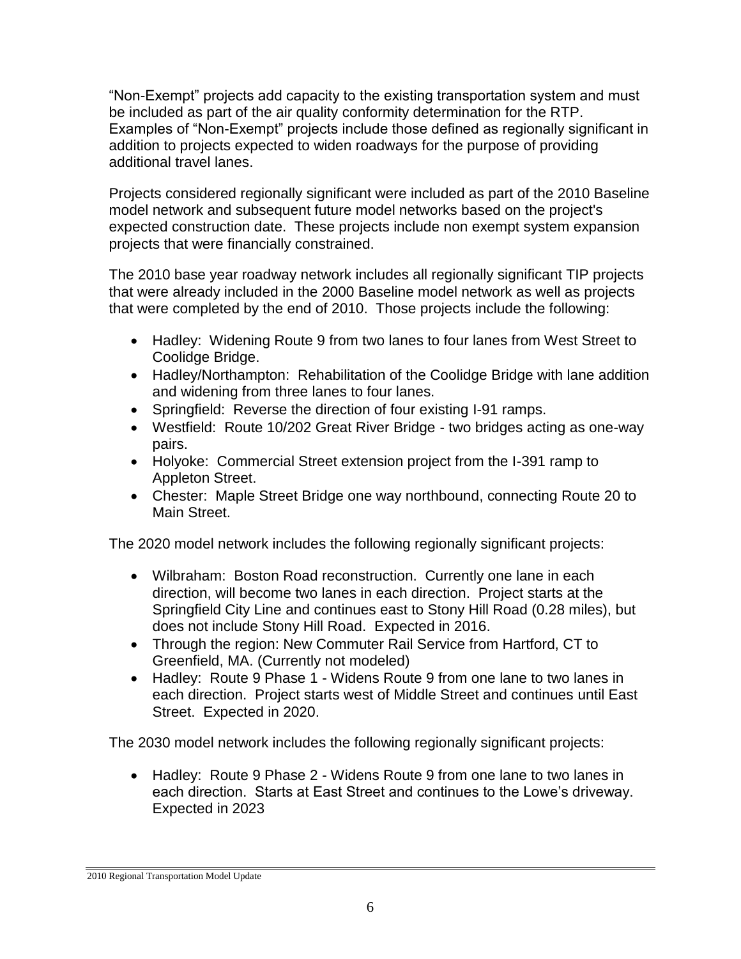"Non-Exempt" projects add capacity to the existing transportation system and must be included as part of the air quality conformity determination for the RTP. Examples of "Non-Exempt" projects include those defined as regionally significant in addition to projects expected to widen roadways for the purpose of providing additional travel lanes.

Projects considered regionally significant were included as part of the 2010 Baseline model network and subsequent future model networks based on the project's expected construction date. These projects include non exempt system expansion projects that were financially constrained.

The 2010 base year roadway network includes all regionally significant TIP projects that were already included in the 2000 Baseline model network as well as projects that were completed by the end of 2010. Those projects include the following:

- Hadley: Widening Route 9 from two lanes to four lanes from West Street to Coolidge Bridge.
- Hadley/Northampton: Rehabilitation of the Coolidge Bridge with lane addition and widening from three lanes to four lanes.
- Springfield: Reverse the direction of four existing I-91 ramps.
- Westfield: Route 10/202 Great River Bridge two bridges acting as one-way pairs.
- Holyoke: Commercial Street extension project from the I-391 ramp to Appleton Street.
- Chester: Maple Street Bridge one way northbound, connecting Route 20 to Main Street.

The 2020 model network includes the following regionally significant projects:

- Wilbraham: Boston Road reconstruction. Currently one lane in each direction, will become two lanes in each direction. Project starts at the Springfield City Line and continues east to Stony Hill Road (0.28 miles), but does not include Stony Hill Road. Expected in 2016.
- Through the region: New Commuter Rail Service from Hartford, CT to Greenfield, MA. (Currently not modeled)
- Hadley: Route 9 Phase 1 Widens Route 9 from one lane to two lanes in each direction. Project starts west of Middle Street and continues until East Street. Expected in 2020.

The 2030 model network includes the following regionally significant projects:

 Hadley: Route 9 Phase 2 - Widens Route 9 from one lane to two lanes in each direction. Starts at East Street and continues to the Lowe's driveway. Expected in 2023

<sup>2010</sup> Regional Transportation Model Update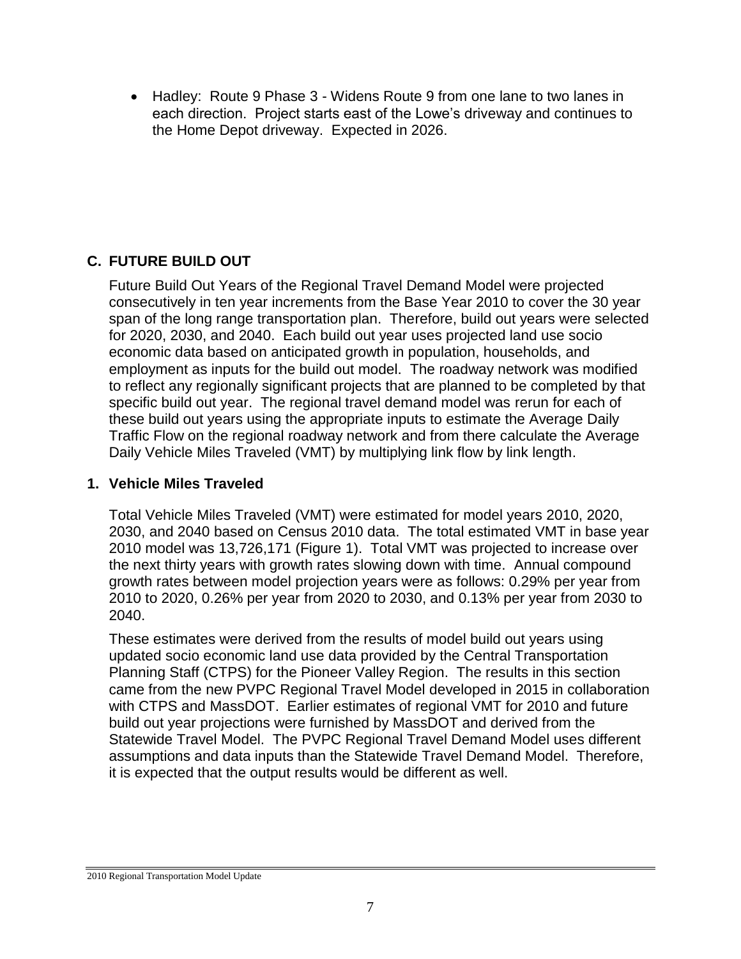Hadley: Route 9 Phase 3 - Widens Route 9 from one lane to two lanes in each direction. Project starts east of the Lowe's driveway and continues to the Home Depot driveway. Expected in 2026.

### **C. FUTURE BUILD OUT**

Future Build Out Years of the Regional Travel Demand Model were projected consecutively in ten year increments from the Base Year 2010 to cover the 30 year span of the long range transportation plan. Therefore, build out years were selected for 2020, 2030, and 2040. Each build out year uses projected land use socio economic data based on anticipated growth in population, households, and employment as inputs for the build out model. The roadway network was modified to reflect any regionally significant projects that are planned to be completed by that specific build out year. The regional travel demand model was rerun for each of these build out years using the appropriate inputs to estimate the Average Daily Traffic Flow on the regional roadway network and from there calculate the Average Daily Vehicle Miles Traveled (VMT) by multiplying link flow by link length.

### **1. Vehicle Miles Traveled**

Total Vehicle Miles Traveled (VMT) were estimated for model years 2010, 2020, 2030, and 2040 based on Census 2010 data. The total estimated VMT in base year 2010 model was 13,726,171 (Figure 1). Total VMT was projected to increase over the next thirty years with growth rates slowing down with time. Annual compound growth rates between model projection years were as follows: 0.29% per year from 2010 to 2020, 0.26% per year from 2020 to 2030, and 0.13% per year from 2030 to 2040.

These estimates were derived from the results of model build out years using updated socio economic land use data provided by the Central Transportation Planning Staff (CTPS) for the Pioneer Valley Region. The results in this section came from the new PVPC Regional Travel Model developed in 2015 in collaboration with CTPS and MassDOT. Earlier estimates of regional VMT for 2010 and future build out year projections were furnished by MassDOT and derived from the Statewide Travel Model. The PVPC Regional Travel Demand Model uses different assumptions and data inputs than the Statewide Travel Demand Model. Therefore, it is expected that the output results would be different as well.

<sup>2010</sup> Regional Transportation Model Update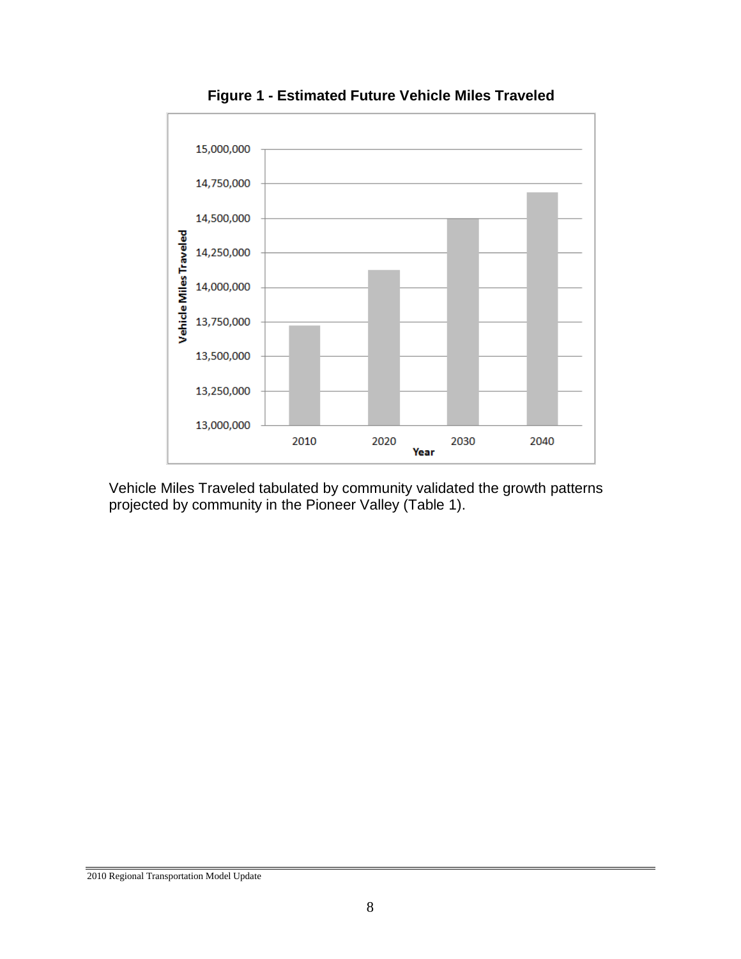

**Figure 1 - Estimated Future Vehicle Miles Traveled** 

Vehicle Miles Traveled tabulated by community validated the growth patterns projected by community in the Pioneer Valley (Table 1).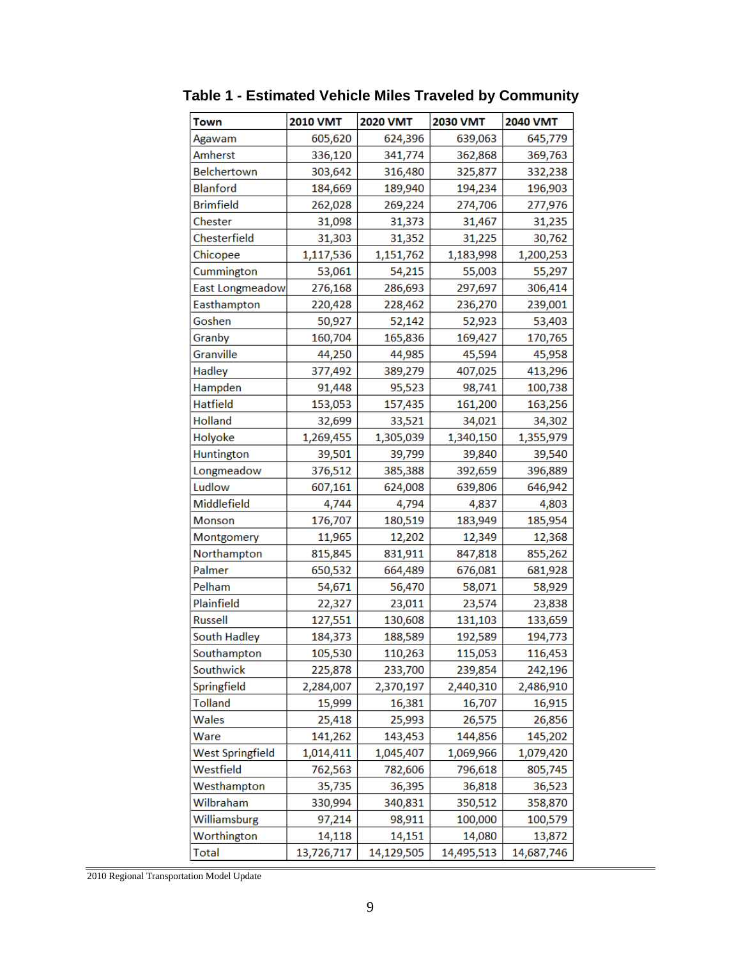| Town                    | <b>2010 VMT</b> | <b>2020 VMT</b> | 2030 VMT   | <b>2040 VMT</b> |
|-------------------------|-----------------|-----------------|------------|-----------------|
| Agawam                  | 605,620         | 624,396         | 639,063    | 645,779         |
| Amherst                 | 336,120         | 341,774         | 362,868    | 369,763         |
| Belchertown             | 303,642         | 316,480         | 325,877    | 332,238         |
| <b>Blanford</b>         | 184,669         | 189,940         | 194,234    | 196,903         |
| <b>Brimfield</b>        | 262,028         | 269,224         | 274,706    | 277,976         |
| Chester                 | 31,098          | 31,373          | 31,467     | 31,235          |
| Chesterfield            | 31,303          | 31,352          | 31,225     | 30,762          |
| Chicopee                | 1,117,536       | 1,151,762       | 1,183,998  | 1,200,253       |
| Cummington              | 53,061          | 54,215          | 55,003     | 55,297          |
| East Longmeadow         | 276,168         | 286,693         | 297,697    | 306,414         |
| Easthampton             | 220,428         | 228,462         | 236,270    | 239,001         |
| Goshen                  | 50,927          | 52,142          | 52,923     | 53,403          |
| Granby                  | 160,704         | 165,836         | 169,427    | 170,765         |
| Granville               | 44,250          | 44,985          | 45,594     | 45,958          |
| Hadley                  | 377,492         | 389,279         | 407,025    | 413,296         |
| Hampden                 | 91,448          | 95,523          | 98,741     | 100,738         |
| <b>Hatfield</b>         | 153,053         | 157,435         | 161,200    | 163,256         |
| <b>Holland</b>          | 32,699          | 33,521          | 34,021     | 34,302          |
| Holyoke                 | 1,269,455       | 1,305,039       | 1,340,150  | 1,355,979       |
| Huntington              | 39,501          | 39,799          | 39,840     | 39,540          |
| Longmeadow              | 376,512         | 385,388         | 392,659    | 396,889         |
| Ludlow                  | 607,161         | 624,008         | 639,806    | 646,942         |
| Middlefield             | 4,744           | 4,794           | 4,837      | 4,803           |
| Monson                  | 176,707         | 180,519         | 183,949    | 185,954         |
| Montgomery              | 11,965          | 12,202          | 12,349     | 12,368          |
| Northampton             | 815,845         | 831,911         | 847,818    | 855,262         |
| Palmer                  | 650,532         | 664,489         | 676,081    | 681,928         |
| Pelham                  | 54,671          | 56,470          | 58,071     | 58,929          |
| Plainfield              | 22,327          | 23,011          | 23,574     | 23,838          |
| <b>Russell</b>          | 127,551         | 130,608         | 131,103    | 133,659         |
| South Hadley            | 184,373         | 188,589         | 192,589    | 194,773         |
| Southampton             | 105,530         | 110,263         | 115,053    | 116,453         |
| Southwick               | 225,878         | 233,700         | 239,854    | 242,196         |
| Springfield             | 2,284,007       | 2,370,197       | 2,440,310  | 2,486,910       |
| <b>Tolland</b>          | 15,999          | 16,381          | 16,707     | 16,915          |
| Wales                   | 25,418          | 25,993          | 26,575     | 26,856          |
| Ware                    | 141,262         | 143,453         | 144,856    | 145,202         |
| <b>West Springfield</b> | 1,014,411       | 1,045,407       | 1,069,966  | 1,079,420       |
| Westfield               | 762,563         | 782,606         | 796,618    | 805,745         |
| Westhampton             | 35,735          | 36,395          | 36,818     | 36,523          |
| Wilbraham               | 330,994         | 340,831         | 350,512    | 358,870         |
| Williamsburg            | 97,214          | 98,911          | 100,000    | 100,579         |
| Worthington             | 14,118          | 14,151          | 14,080     | 13,872          |
| <b>Total</b>            | 13,726,717      | 14,129,505      | 14,495,513 | 14,687,746      |

**Table 1 - Estimated Vehicle Miles Traveled by Community**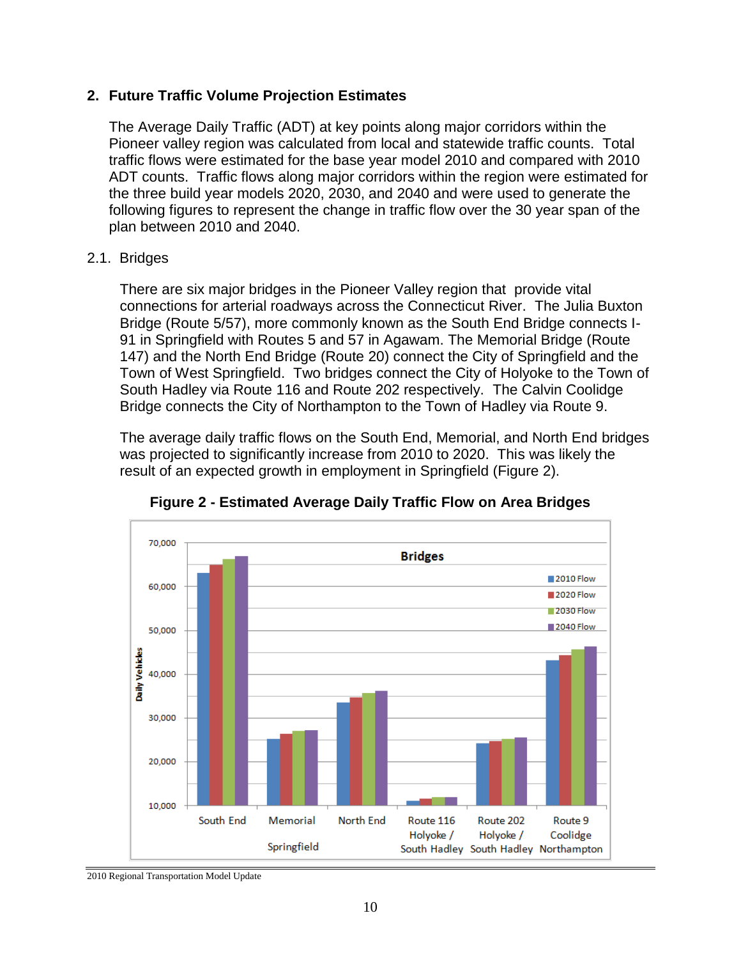#### **2. Future Traffic Volume Projection Estimates**

The Average Daily Traffic (ADT) at key points along major corridors within the Pioneer valley region was calculated from local and statewide traffic counts. Total traffic flows were estimated for the base year model 2010 and compared with 2010 ADT counts. Traffic flows along major corridors within the region were estimated for the three build year models 2020, 2030, and 2040 and were used to generate the following figures to represent the change in traffic flow over the 30 year span of the plan between 2010 and 2040.

#### 2.1. Bridges

There are six major bridges in the Pioneer Valley region that provide vital connections for arterial roadways across the Connecticut River. The Julia Buxton Bridge (Route 5/57), more commonly known as the South End Bridge connects I-91 in Springfield with Routes 5 and 57 in Agawam. The Memorial Bridge (Route 147) and the North End Bridge (Route 20) connect the City of Springfield and the Town of West Springfield. Two bridges connect the City of Holyoke to the Town of South Hadley via Route 116 and Route 202 respectively. The Calvin Coolidge Bridge connects the City of Northampton to the Town of Hadley via Route 9.

The average daily traffic flows on the South End, Memorial, and North End bridges was projected to significantly increase from 2010 to 2020. This was likely the result of an expected growth in employment in Springfield (Figure 2).



**Figure 2 - Estimated Average Daily Traffic Flow on Area Bridges**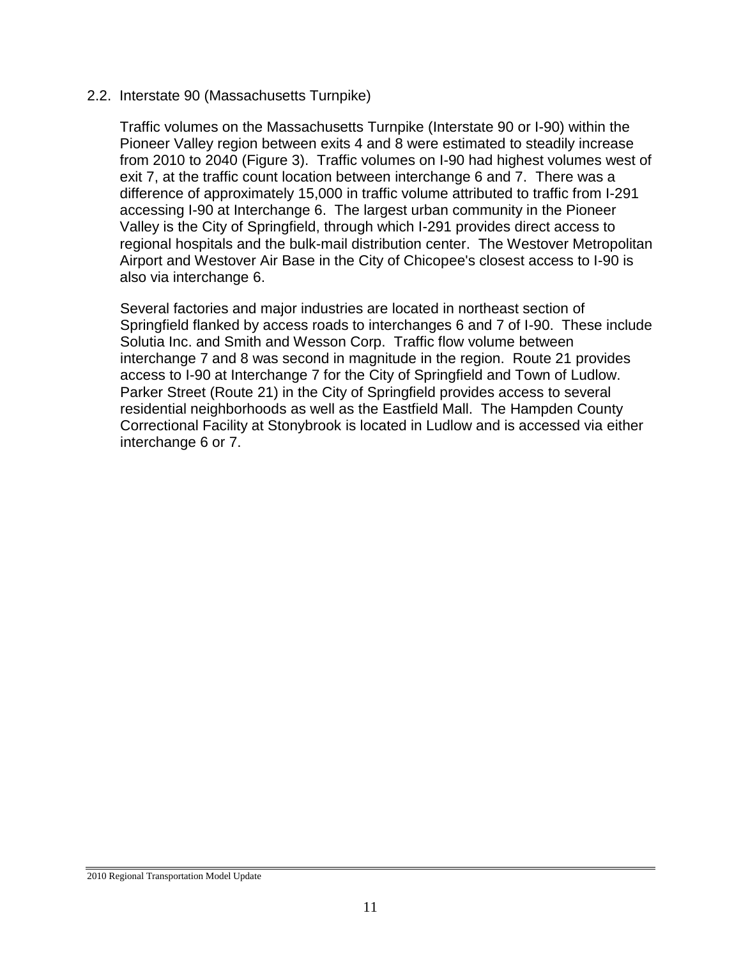#### 2.2. Interstate 90 (Massachusetts Turnpike)

Traffic volumes on the Massachusetts Turnpike (Interstate 90 or I-90) within the Pioneer Valley region between exits 4 and 8 were estimated to steadily increase from 2010 to 2040 (Figure 3). Traffic volumes on I-90 had highest volumes west of exit 7, at the traffic count location between interchange 6 and 7. There was a difference of approximately 15,000 in traffic volume attributed to traffic from I-291 accessing I-90 at Interchange 6. The largest urban community in the Pioneer Valley is the City of Springfield, through which I-291 provides direct access to regional hospitals and the bulk-mail distribution center. The Westover Metropolitan Airport and Westover Air Base in the City of Chicopee's closest access to I-90 is also via interchange 6.

Several factories and major industries are located in northeast section of Springfield flanked by access roads to interchanges 6 and 7 of I-90. These include Solutia Inc. and Smith and Wesson Corp. Traffic flow volume between interchange 7 and 8 was second in magnitude in the region. Route 21 provides access to I-90 at Interchange 7 for the City of Springfield and Town of Ludlow. Parker Street (Route 21) in the City of Springfield provides access to several residential neighborhoods as well as the Eastfield Mall. The Hampden County Correctional Facility at Stonybrook is located in Ludlow and is accessed via either interchange 6 or 7.

<sup>2010</sup> Regional Transportation Model Update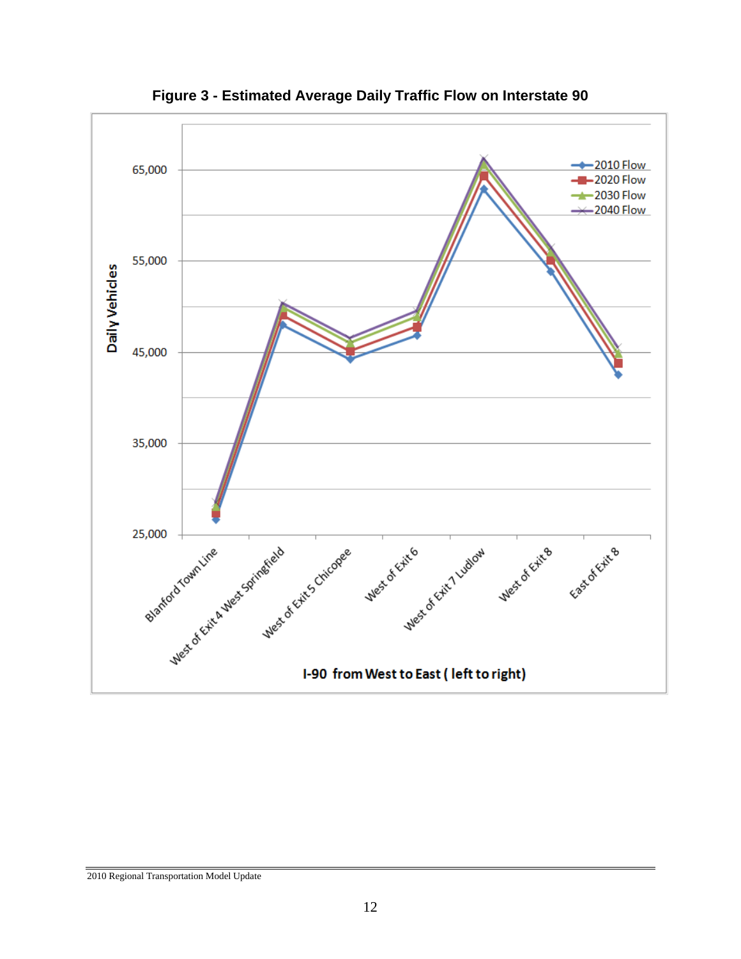

**Figure 3 - Estimated Average Daily Traffic Flow on Interstate 90**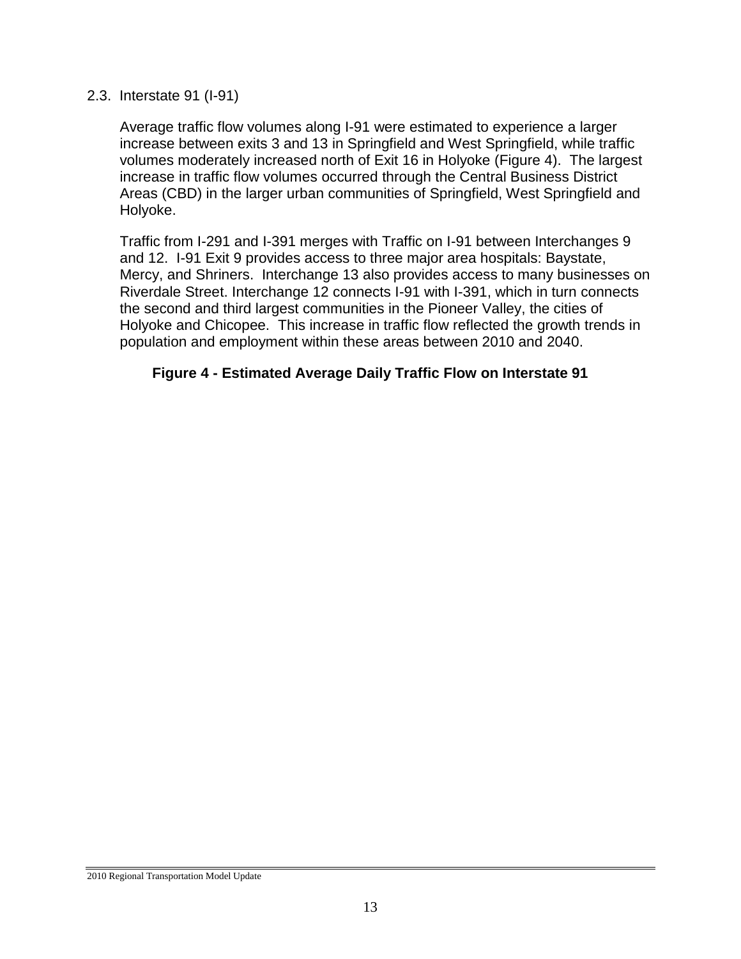#### 2.3. Interstate 91 (I-91)

Average traffic flow volumes along I-91 were estimated to experience a larger increase between exits 3 and 13 in Springfield and West Springfield, while traffic volumes moderately increased north of Exit 16 in Holyoke (Figure 4). The largest increase in traffic flow volumes occurred through the Central Business District Areas (CBD) in the larger urban communities of Springfield, West Springfield and Holyoke.

Traffic from I-291 and I-391 merges with Traffic on I-91 between Interchanges 9 and 12. I-91 Exit 9 provides access to three major area hospitals: Baystate, Mercy, and Shriners. Interchange 13 also provides access to many businesses on Riverdale Street. Interchange 12 connects I-91 with I-391, which in turn connects the second and third largest communities in the Pioneer Valley, the cities of Holyoke and Chicopee. This increase in traffic flow reflected the growth trends in population and employment within these areas between 2010 and 2040.

#### **Figure 4 - Estimated Average Daily Traffic Flow on Interstate 91**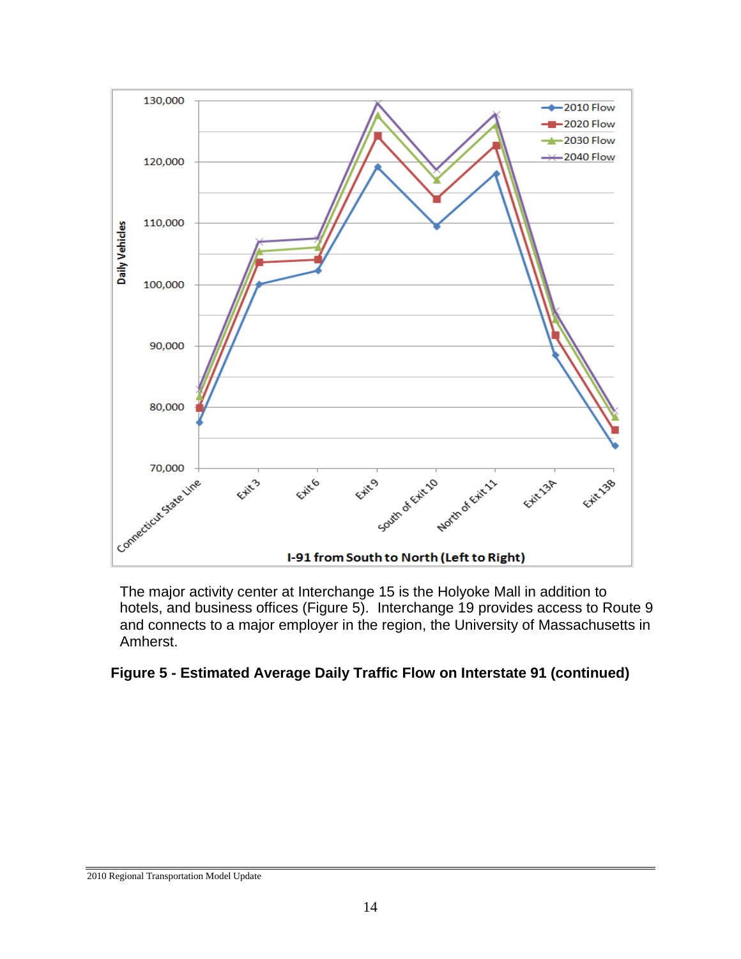

The major activity center at Interchange 15 is the Holyoke Mall in addition to hotels, and business offices (Figure 5). Interchange 19 provides access to Route 9 and connects to a major employer in the region, the University of Massachusetts in Amherst.

#### **Figure 5 - Estimated Average Daily Traffic Flow on Interstate 91 (continued)**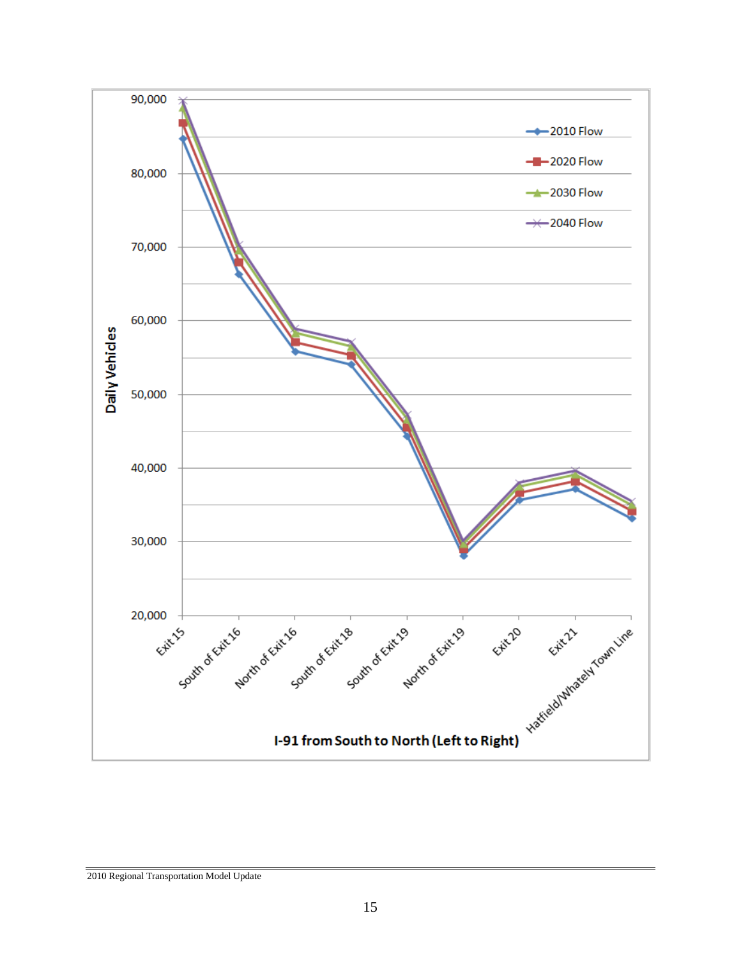

2010 Regional Transportation Model Update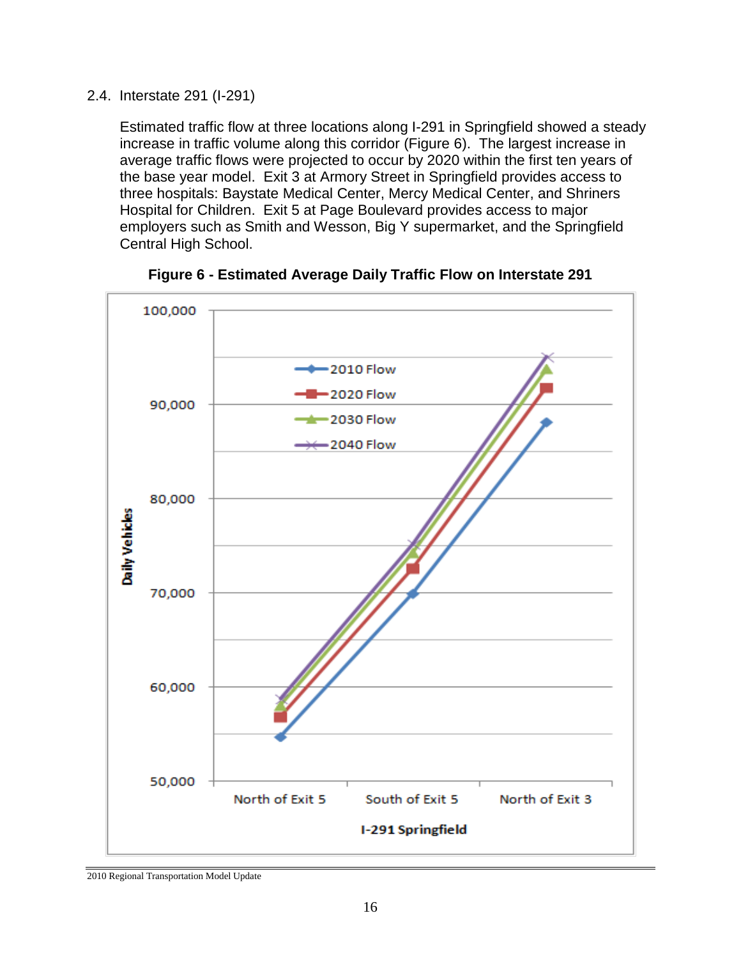2.4. Interstate 291 (I-291)

Estimated traffic flow at three locations along I-291 in Springfield showed a steady increase in traffic volume along this corridor (Figure 6). The largest increase in average traffic flows were projected to occur by 2020 within the first ten years of the base year model. Exit 3 at Armory Street in Springfield provides access to three hospitals: Baystate Medical Center, Mercy Medical Center, and Shriners Hospital for Children. Exit 5 at Page Boulevard provides access to major employers such as Smith and Wesson, Big Y supermarket, and the Springfield Central High School.





<sup>2010</sup> Regional Transportation Model Update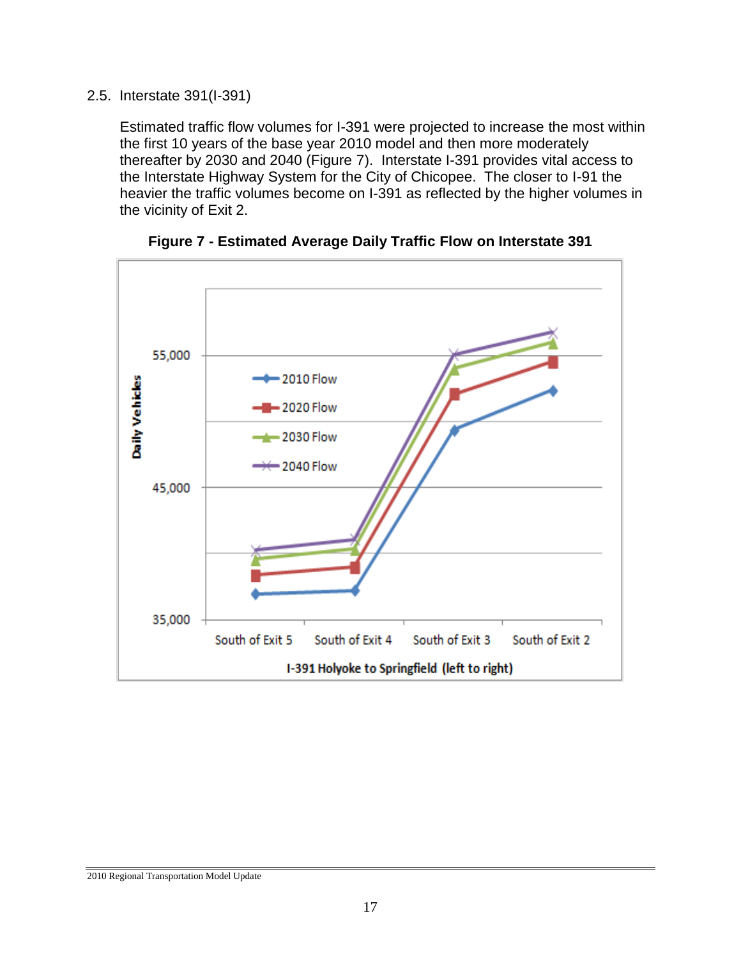#### 2.5. Interstate 391(I-391)

Estimated traffic flow volumes for I-391 were projected to increase the most within the first 10 years of the base year 2010 model and then more moderately thereafter by 2030 and 2040 (Figure 7). Interstate I-391 provides vital access to the Interstate Highway System for the City of Chicopee. The closer to I-91 the heavier the traffic volumes become on I-391 as reflected by the higher volumes in the vicinity of Exit 2.



**Figure 7 - Estimated Average Daily Traffic Flow on Interstate 391**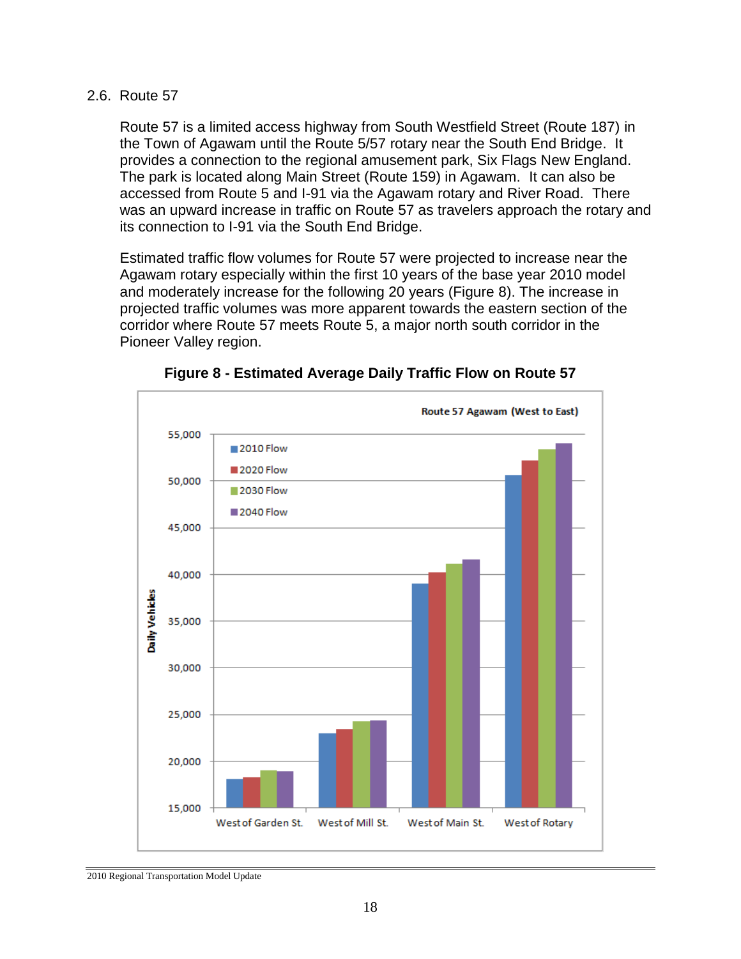#### 2.6. Route 57

Route 57 is a limited access highway from South Westfield Street (Route 187) in the Town of Agawam until the Route 5/57 rotary near the South End Bridge. It provides a connection to the regional amusement park, Six Flags New England. The park is located along Main Street (Route 159) in Agawam. It can also be accessed from Route 5 and I-91 via the Agawam rotary and River Road. There was an upward increase in traffic on Route 57 as travelers approach the rotary and its connection to I-91 via the South End Bridge.

Estimated traffic flow volumes for Route 57 were projected to increase near the Agawam rotary especially within the first 10 years of the base year 2010 model and moderately increase for the following 20 years (Figure 8). The increase in projected traffic volumes was more apparent towards the eastern section of the corridor where Route 57 meets Route 5, a major north south corridor in the Pioneer Valley region.



**Figure 8 - Estimated Average Daily Traffic Flow on Route 57**

<sup>2010</sup> Regional Transportation Model Update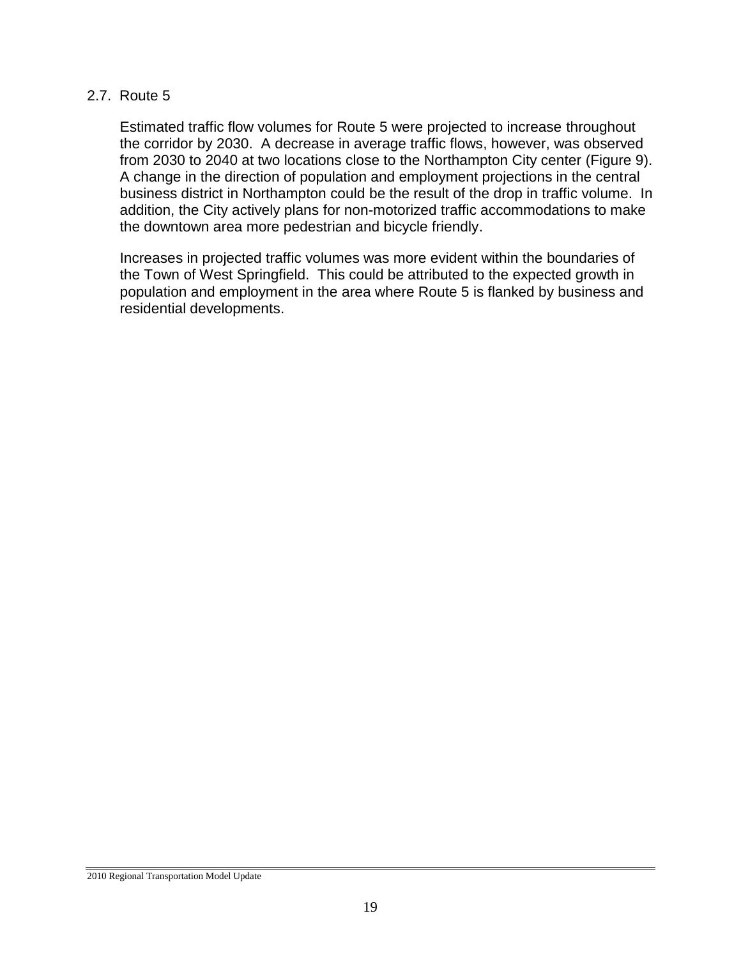#### 2.7. Route 5

Estimated traffic flow volumes for Route 5 were projected to increase throughout the corridor by 2030. A decrease in average traffic flows, however, was observed from 2030 to 2040 at two locations close to the Northampton City center (Figure 9). A change in the direction of population and employment projections in the central business district in Northampton could be the result of the drop in traffic volume. In addition, the City actively plans for non-motorized traffic accommodations to make the downtown area more pedestrian and bicycle friendly.

Increases in projected traffic volumes was more evident within the boundaries of the Town of West Springfield. This could be attributed to the expected growth in population and employment in the area where Route 5 is flanked by business and residential developments.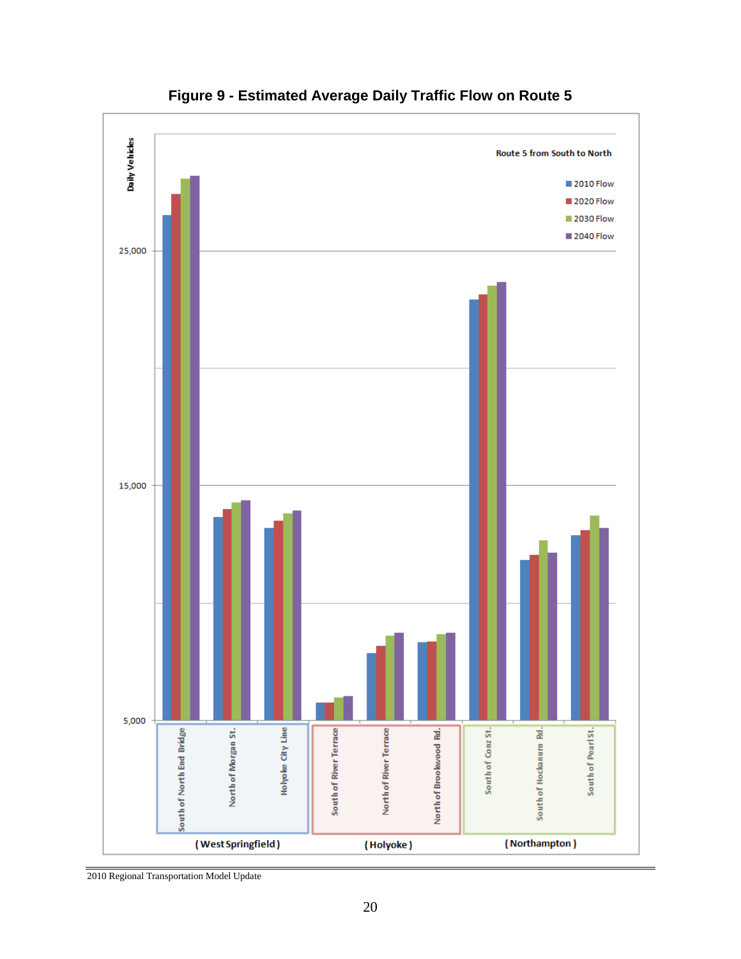

**Figure 9 - Estimated Average Daily Traffic Flow on Route 5**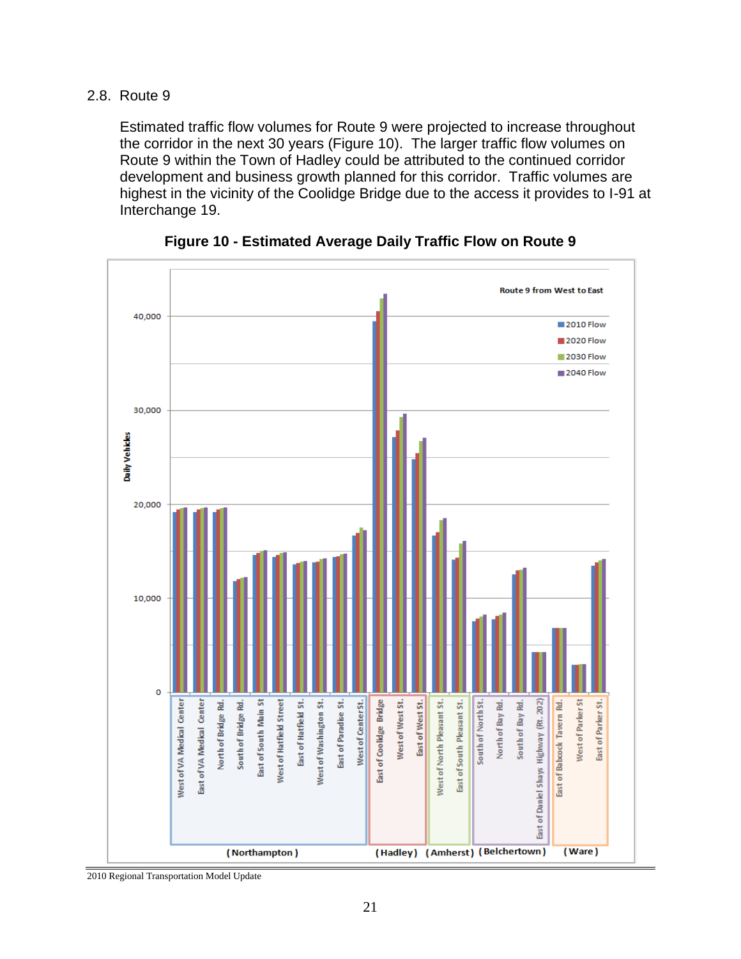#### 2.8. Route 9

Estimated traffic flow volumes for Route 9 were projected to increase throughout the corridor in the next 30 years (Figure 10). The larger traffic flow volumes on Route 9 within the Town of Hadley could be attributed to the continued corridor development and business growth planned for this corridor. Traffic volumes are highest in the vicinity of the Coolidge Bridge due to the access it provides to I-91 at Interchange 19.



**Figure 10 - Estimated Average Daily Traffic Flow on Route 9**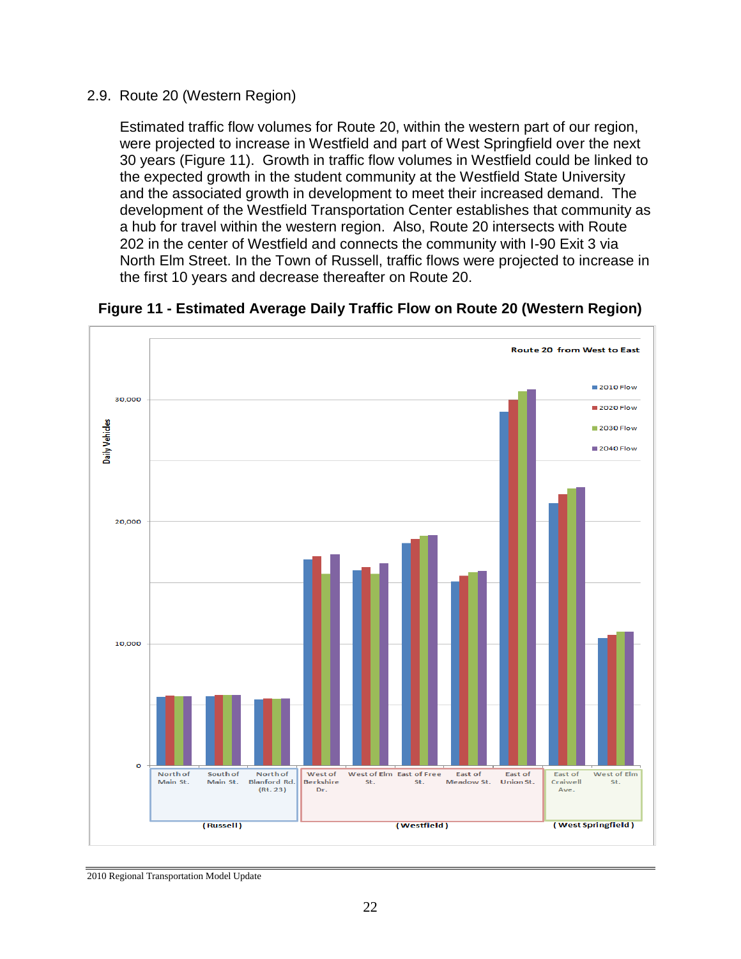#### 2.9. Route 20 (Western Region)

Estimated traffic flow volumes for Route 20, within the western part of our region, were projected to increase in Westfield and part of West Springfield over the next 30 years (Figure 11). Growth in traffic flow volumes in Westfield could be linked to the expected growth in the student community at the Westfield State University and the associated growth in development to meet their increased demand. The development of the Westfield Transportation Center establishes that community as a hub for travel within the western region. Also, Route 20 intersects with Route 202 in the center of Westfield and connects the community with I-90 Exit 3 via North Elm Street. In the Town of Russell, traffic flows were projected to increase in the first 10 years and decrease thereafter on Route 20.



**Figure 11 - Estimated Average Daily Traffic Flow on Route 20 (Western Region)**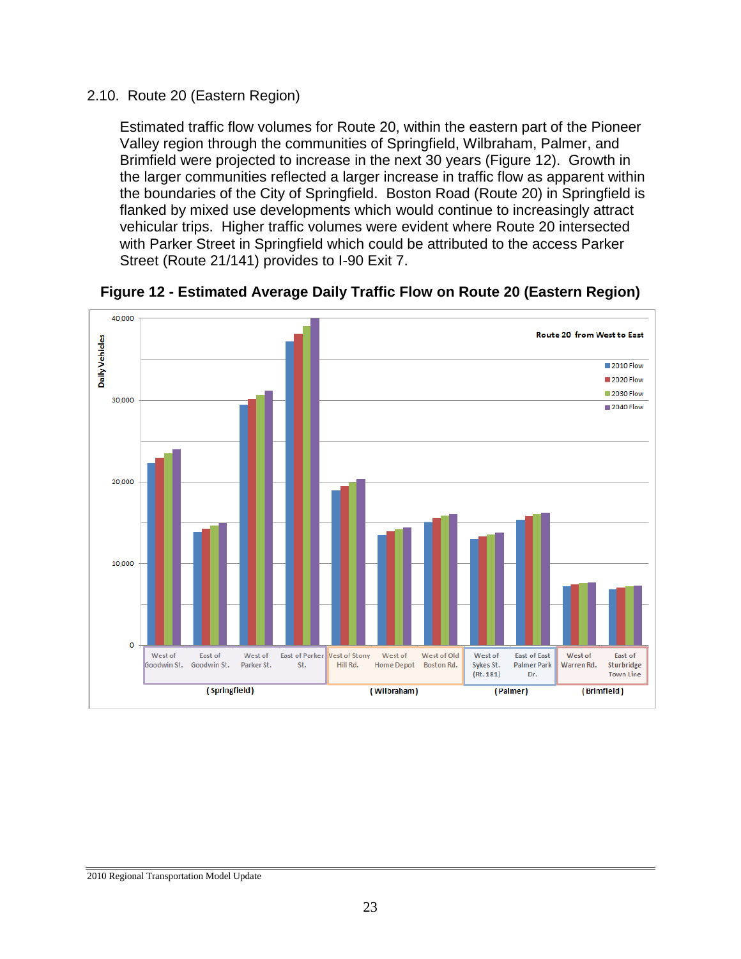#### 2.10. Route 20 (Eastern Region)

Estimated traffic flow volumes for Route 20, within the eastern part of the Pioneer Valley region through the communities of Springfield, Wilbraham, Palmer, and Brimfield were projected to increase in the next 30 years (Figure 12). Growth in the larger communities reflected a larger increase in traffic flow as apparent within the boundaries of the City of Springfield. Boston Road (Route 20) in Springfield is flanked by mixed use developments which would continue to increasingly attract vehicular trips. Higher traffic volumes were evident where Route 20 intersected with Parker Street in Springfield which could be attributed to the access Parker Street (Route 21/141) provides to I-90 Exit 7.



**Figure 12 - Estimated Average Daily Traffic Flow on Route 20 (Eastern Region)**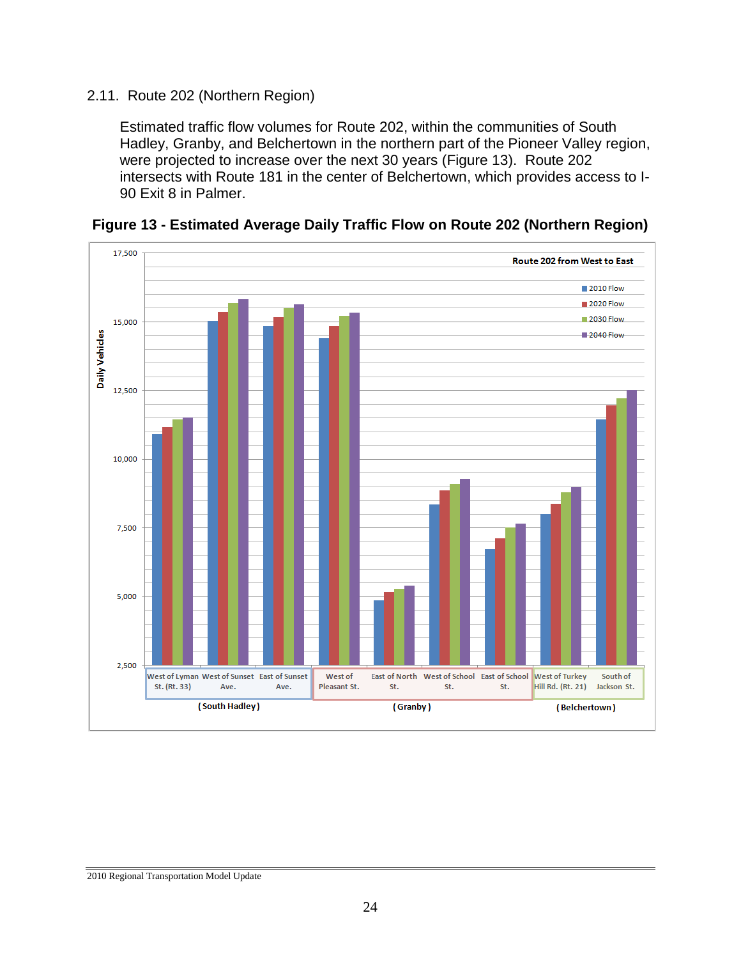#### 2.11. Route 202 (Northern Region)

Estimated traffic flow volumes for Route 202, within the communities of South Hadley, Granby, and Belchertown in the northern part of the Pioneer Valley region, were projected to increase over the next 30 years (Figure 13). Route 202 intersects with Route 181 in the center of Belchertown, which provides access to I-90 Exit 8 in Palmer.



**Figure 13 - Estimated Average Daily Traffic Flow on Route 202 (Northern Region)**